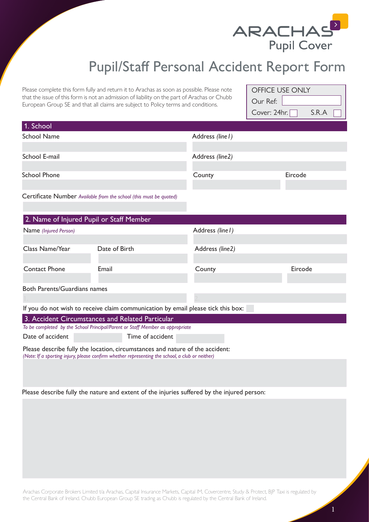

## Pupil/Staff Personal Accident Report Form

Please complete this form fully and return it to Arachas as soon as possible. Please note that the issue of this form is not an admission of liability on the part of Arachas or Chubb European Group SE and that all claims are subject to Policy terms and conditions.

| Our Ref: |       | OFFICE USE ONLY |
|----------|-------|-----------------|
|          |       |                 |
|          | S.R.A | Cover: $24hr.$  |

| 1. School                                |                                                                                                                                                                                  |                  |         |  |
|------------------------------------------|----------------------------------------------------------------------------------------------------------------------------------------------------------------------------------|------------------|---------|--|
| <b>School Name</b>                       |                                                                                                                                                                                  | Address (line I) |         |  |
|                                          |                                                                                                                                                                                  |                  |         |  |
| School E-mail                            |                                                                                                                                                                                  | Address (line2)  |         |  |
|                                          |                                                                                                                                                                                  |                  |         |  |
| <b>School Phone</b>                      |                                                                                                                                                                                  | County           | Eircode |  |
|                                          |                                                                                                                                                                                  |                  |         |  |
|                                          | Certificate Number Available from the school (this must be quoted)                                                                                                               |                  |         |  |
|                                          |                                                                                                                                                                                  |                  |         |  |
| 2. Name of Injured Pupil or Staff Member |                                                                                                                                                                                  |                  |         |  |
| Name (Injured Person)                    |                                                                                                                                                                                  | Address (line I) |         |  |
|                                          |                                                                                                                                                                                  |                  |         |  |
| Class Name/Year                          | Date of Birth                                                                                                                                                                    | Address (line2)  |         |  |
|                                          |                                                                                                                                                                                  |                  |         |  |
| <b>Contact Phone</b>                     | Email                                                                                                                                                                            | County           | Eircode |  |
|                                          |                                                                                                                                                                                  |                  |         |  |
| <b>Both Parents/Guardians names</b>      |                                                                                                                                                                                  |                  |         |  |
|                                          |                                                                                                                                                                                  |                  |         |  |
|                                          | If you do not wish to receive claim communication by email please tick this box:                                                                                                 |                  |         |  |
|                                          | 3. Accident Circumstances and Related Particular                                                                                                                                 |                  |         |  |
|                                          | To be completed by the School Principal/Parent or Staff Member as appropriate                                                                                                    |                  |         |  |
| Date of accident                         | Time of accident                                                                                                                                                                 |                  |         |  |
|                                          | Please describe fully the location, circumstances and nature of the accident:<br>(Note: If a sporting injury, please confirm whether representing the school, a club or neither) |                  |         |  |
|                                          |                                                                                                                                                                                  |                  |         |  |
|                                          |                                                                                                                                                                                  |                  |         |  |

Please describe fully the nature and extent of the injuries suffered by the injured person:

Arachas Corporate Brokers Limited t/a Arachas, Capital Insurance Markets, Capital IM, Covercentre, Study & Protect, BJP Taxi is regulated by the Central Bank of Ireland. Chubb European Group SE trading as Chubb is regulated by the Central Bank of Ireland.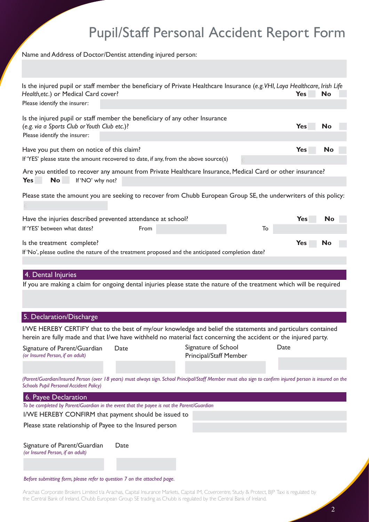## Pupil/Staff Personal Accident Report Form

Name and Address of Doctor/Dentist attending injured person:

| Health, etc.) or Medical Card cover?<br>Please identify the insurer:         |                                                                                                                                                   | Is the injured pupil or staff member the beneficiary of Private Healthcare Insurance (e.g. VHI, Laya Healthcare, Irish Life                                                                                                      | <b>Yes</b><br>No        |
|------------------------------------------------------------------------------|---------------------------------------------------------------------------------------------------------------------------------------------------|----------------------------------------------------------------------------------------------------------------------------------------------------------------------------------------------------------------------------------|-------------------------|
| (e.g. via a Sports Club or Youth Club etc.)?<br>Please identify the insurer: | Is the injured pupil or staff member the beneficiary of any other Insurance                                                                       |                                                                                                                                                                                                                                  | <b>Yes</b><br><b>No</b> |
| Have you put them on notice of this claim?                                   | If 'YES' please state the amount recovered to date, if any, from the above source(s)                                                              |                                                                                                                                                                                                                                  | No<br><b>Yes</b>        |
| <b>No</b><br>If 'NO' why not?<br>Yes                                         |                                                                                                                                                   | Are you entitled to recover any amount from Private Healthcare Insurance, Medical Card or other insurance?                                                                                                                       |                         |
|                                                                              |                                                                                                                                                   | Please state the amount you are seeking to recover from Chubb European Group SE, the underwriters of this policy:                                                                                                                |                         |
| If 'YES' between what dates?                                                 | Have the injuries described prevented attendance at school?<br>From                                                                               | To                                                                                                                                                                                                                               | <b>Yes</b><br>No        |
| Is the treatment complete?                                                   |                                                                                                                                                   | If 'No', please outline the nature of the treatment proposed and the anticipated completion date?                                                                                                                                | <b>Yes</b><br>No        |
| 4. Dental Injuries                                                           |                                                                                                                                                   | If you are making a claim for ongoing dental injuries please state the nature of the treatment which will be required                                                                                                            |                         |
| 5. Declaration/Discharge                                                     |                                                                                                                                                   |                                                                                                                                                                                                                                  |                         |
|                                                                              |                                                                                                                                                   | I/WE HEREBY CERTIFY that to the best of my/our knowledge and belief the statements and particulars contained<br>herein are fully made and that I/we have withheld no material fact concerning the accident or the injured party. |                         |
| (or Insured Person, if an adult)                                             |                                                                                                                                                   | Signature of Parent/Guardian Date Signature of School<br><b>Principal/Staff Member</b>                                                                                                                                           | Date                    |
| <b>Schools Pupil Personal Accident Policy)</b>                               |                                                                                                                                                   | (Parent/Guardian/Insured Person (over 18 years) must always sign. School Principal/Staff Member must also sign to confirm injured person is insured on the                                                                       |                         |
| 6. Payee Declaration                                                         |                                                                                                                                                   |                                                                                                                                                                                                                                  |                         |
|                                                                              | To be completed by Parent/Guardian in the event that the payee is not the Parent/Guardian<br>I/WE HEREBY CONFIRM that payment should be issued to |                                                                                                                                                                                                                                  |                         |
|                                                                              | Please state relationship of Payee to the Insured person                                                                                          |                                                                                                                                                                                                                                  |                         |
| Signature of Parent/Guardian<br>(or Insured Person, if an adult)             | Date                                                                                                                                              |                                                                                                                                                                                                                                  |                         |
| Before submitting form blegse refer to question 7 on the attached bage       |                                                                                                                                                   |                                                                                                                                                                                                                                  |                         |

*Before submitting form, please refer to question 7 on the attached page.*

Arachas Corporate Brokers Limited t/a Arachas, Capital Insurance Markets, Capital IM, Covercentre, Study & Protect, BJP Taxi is regulated by the Central Bank of Ireland. Chubb European Group SE trading as Chubb is regulated by the Central Bank of Ireland.